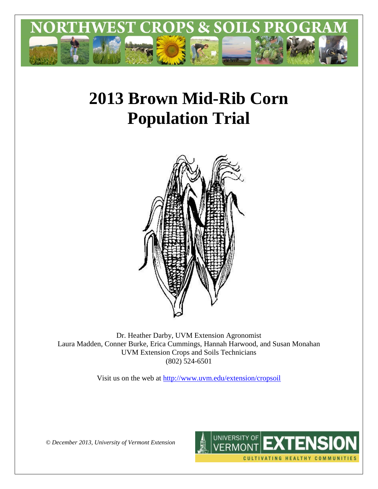

# **2013 Brown Mid-Rib Corn Population Trial**



Dr. Heather Darby, UVM Extension Agronomist Laura Madden, Conner Burke, Erica Cummings, Hannah Harwood, and Susan Monahan UVM Extension Crops and Soils Technicians (802) 524-6501

Visit us on the web at<http://www.uvm.edu/extension/cropsoil>



*© December 2013, University of Vermont Extension*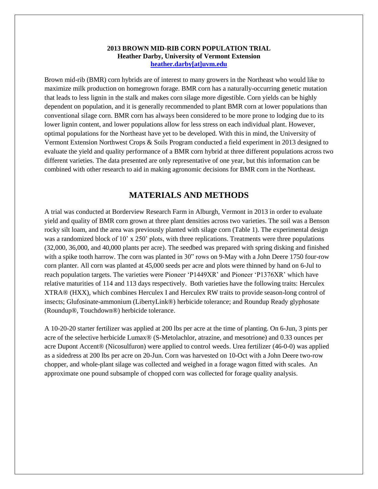#### **2013 BROWN MID-RIB CORN POPULATION TRIAL Heather Darby, University of Vermont Extension [heather.darby\[at\]uvm.edu](mailto:Heather.Darby@uvm.edu?subject=2012%20BMR%20Seeding%20Rate%20Trial)**

Brown mid-rib (BMR) corn hybrids are of interest to many growers in the Northeast who would like to maximize milk production on homegrown forage. BMR corn has a naturally-occurring genetic mutation that leads to less lignin in the stalk and makes corn silage more digestible. Corn yields can be highly dependent on population, and it is generally recommended to plant BMR corn at lower populations than conventional silage corn. BMR corn has always been considered to be more prone to lodging due to its lower lignin content, and lower populations allow for less stress on each individual plant. However, optimal populations for the Northeast have yet to be developed. With this in mind, the University of Vermont Extension Northwest Crops & Soils Program conducted a field experiment in 2013 designed to evaluate the yield and quality performance of a BMR corn hybrid at three different populations across two different varieties. The data presented are only representative of one year, but this information can be combined with other research to aid in making agronomic decisions for BMR corn in the Northeast.

## **MATERIALS AND METHODS**

A trial was conducted at Borderview Research Farm in Alburgh, Vermont in 2013 in order to evaluate yield and quality of BMR corn grown at three plant densities across two varieties. The soil was a Benson rocky silt loam, and the area was previously planted with silage corn (Table 1). The experimental design was a randomized block of 10' x 250' plots, with three replications. Treatments were three populations (32,000, 36,000, and 40,000 plants per acre). The seedbed was prepared with spring disking and finished with a spike tooth harrow. The corn was planted in 30" rows on 9-May with a John Deere 1750 four-row corn planter. All corn was planted at 45,000 seeds per acre and plots were thinned by hand on 6-Jul to reach population targets. The varieties were Pioneer 'P1449XR' and Pioneer 'P1376XR' which have relative maturities of 114 and 113 days respectively. Both varieties have the following traits: Herculex XTRA® (HXX), which combines Herculex I and Herculex RW traits to provide season-long control of insects; Glufosinate-ammonium (LibertyLink®) herbicide tolerance; and Roundup Ready glyphosate (Roundup®, Touchdown®) herbicide tolerance.

A 10-20-20 starter fertilizer was applied at 200 lbs per acre at the time of planting. On 6-Jun, 3 pints per acre of the selective herbicide Lumax® (S-Metolachlor, atrazine, and mesotrione) and 0.33 ounces per acre Dupont Accent® (Nicosulfuron) were applied to control weeds. Urea fertilizer (46-0-0) was applied as a sidedress at 200 lbs per acre on 20-Jun. Corn was harvested on 10-Oct with a John Deere two-row chopper, and whole-plant silage was collected and weighed in a forage wagon fitted with scales. An approximate one pound subsample of chopped corn was collected for forage quality analysis.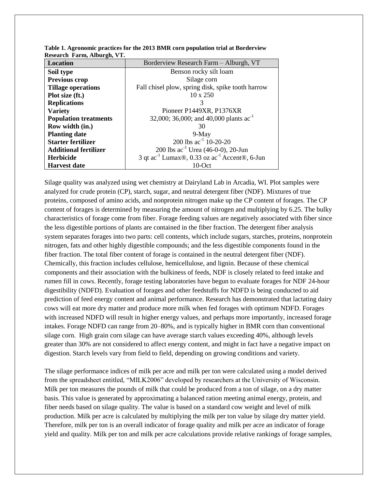| $\frac{1}{2}$<br>Location    | Borderview Research Farm - Alburgh, VT                                |  |  |  |
|------------------------------|-----------------------------------------------------------------------|--|--|--|
| Soil type                    | Benson rocky silt loam                                                |  |  |  |
| Previous crop                | Silage corn                                                           |  |  |  |
| <b>Tillage operations</b>    | Fall chisel plow, spring disk, spike tooth harrow                     |  |  |  |
| Plot size (ft.)              | $10 \times 250$                                                       |  |  |  |
| <b>Replications</b>          |                                                                       |  |  |  |
| <b>Variety</b>               | Pioneer P1449XR, P1376XR                                              |  |  |  |
| <b>Population treatments</b> | 32,000; 36,000; and 40,000 plants $ac^{-1}$                           |  |  |  |
| Row width (in.)              | 30                                                                    |  |  |  |
| <b>Planting date</b>         | $9-May$                                                               |  |  |  |
| <b>Starter fertilizer</b>    | 200 lbs $ac^{-1}$ 10-20-20                                            |  |  |  |
| <b>Additional fertilizer</b> | 200 lbs $ac^{-1}$ Urea (46-0-0), 20-Jun                               |  |  |  |
| <b>Herbicide</b>             | 3 qt ac <sup>-1</sup> Lumax®, 0.33 oz ac <sup>-1</sup> Accent®, 6-Jun |  |  |  |
| <b>Harvest date</b>          | $10$ -Oct                                                             |  |  |  |

**Table 1. Agronomic practices for the 2013 BMR corn population trial at Borderview Research Farm, Alburgh, VT.**

Silage quality was analyzed using wet chemistry at Dairyland Lab in Arcadia, WI. Plot samples were analyzed for crude protein (CP), starch, sugar, and neutral detergent fiber (NDF). Mixtures of true proteins, composed of amino acids, and nonprotein nitrogen make up the CP content of forages. The CP content of forages is determined by measuring the amount of nitrogen and multiplying by 6.25. The bulky characteristics of forage come from fiber. Forage feeding values are negatively associated with fiber since the less digestible portions of plants are contained in the fiber fraction. The detergent fiber analysis system separates forages into two parts: cell contents, which include sugars, starches, proteins, nonprotein nitrogen, fats and other highly digestible compounds; and the less digestible components found in the fiber fraction. The total fiber content of forage is contained in the neutral detergent fiber (NDF). Chemically, this fraction includes cellulose, hemicellulose, and lignin. Because of these chemical components and their association with the bulkiness of feeds, NDF is closely related to feed intake and rumen fill in cows. Recently, forage testing laboratories have begun to evaluate forages for NDF 24-hour digestibility (NDFD). Evaluation of forages and other feedstuffs for NDFD is being conducted to aid prediction of feed energy content and animal performance. Research has demonstrated that lactating dairy cows will eat more dry matter and produce more milk when fed forages with optimum NDFD. Forages with increased NDFD will result in higher energy values, and perhaps more importantly, increased forage intakes. Forage NDFD can range from 20–80%, and is typically higher in BMR corn than conventional silage corn. High grain corn silage can have average starch values exceeding 40%, although levels greater than 30% are not considered to affect energy content, and might in fact have a negative impact on digestion. Starch levels vary from field to field, depending on growing conditions and variety.

The silage performance indices of milk per acre and milk per ton were calculated using a model derived from the spreadsheet entitled, "MILK2006" developed by researchers at the University of Wisconsin. Milk per ton measures the pounds of milk that could be produced from a ton of silage, on a dry matter basis. This value is generated by approximating a balanced ration meeting animal energy, protein, and fiber needs based on silage quality. The value is based on a standard cow weight and level of milk production. Milk per acre is calculated by multiplying the milk per ton value by silage dry matter yield. Therefore, milk per ton is an overall indicator of forage quality and milk per acre an indicator of forage yield and quality. Milk per ton and milk per acre calculations provide relative rankings of forage samples,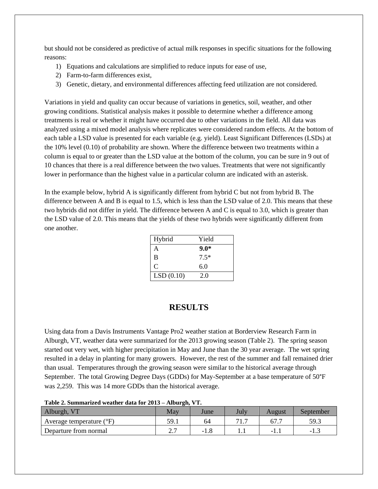but should not be considered as predictive of actual milk responses in specific situations for the following reasons:

- 1) Equations and calculations are simplified to reduce inputs for ease of use,
- 2) Farm-to-farm differences exist,
- 3) Genetic, dietary, and environmental differences affecting feed utilization are not considered.

Variations in yield and quality can occur because of variations in genetics, soil, weather, and other growing conditions. Statistical analysis makes it possible to determine whether a difference among treatments is real or whether it might have occurred due to other variations in the field. All data was analyzed using a mixed model analysis where replicates were considered random effects. At the bottom of each table a LSD value is presented for each variable (e.g. yield). Least Significant Differences (LSDs) at the 10% level (0.10) of probability are shown. Where the difference between two treatments within a column is equal to or greater than the LSD value at the bottom of the column, you can be sure in 9 out of 10 chances that there is a real difference between the two values. Treatments that were not significantly lower in performance than the highest value in a particular column are indicated with an asterisk.

In the example below, hybrid A is significantly different from hybrid C but not from hybrid B. The difference between A and B is equal to 1.5, which is less than the LSD value of 2.0. This means that these two hybrids did not differ in yield. The difference between A and C is equal to 3.0, which is greater than the LSD value of 2.0. This means that the yields of these two hybrids were significantly different from one another.

| Hybrid    | Yield  |
|-----------|--------|
| A         | $9.0*$ |
| B         | $7.5*$ |
| C         | 6.0    |
| LSD(0.10) | 2.0    |

#### **RESULTS**

Using data from a Davis Instruments Vantage Pro2 weather station at Borderview Research Farm in Alburgh, VT, weather data were summarized for the 2013 growing season (Table 2). The spring season started out very wet, with higher precipitation in May and June than the 30 year average. The wet spring resulted in a delay in planting for many growers. However, the rest of the summer and fall remained drier than usual. Temperatures through the growing season were similar to the historical average through September. The total Growing Degree Days (GDDs) for May-September at a base temperature of 50°F was 2,259. This was 14 more GDDs than the historical average.

| Table 2. Summarized weather data for $2013 -$ Alburgh, y 1. |      |        |      |        |           |  |  |
|-------------------------------------------------------------|------|--------|------|--------|-----------|--|--|
| Alburgh, VT                                                 | May  | June   | July | August | September |  |  |
| Average temperature $(^{\circ}F)$                           | 59.1 | 64     |      | 67.7   | 59.3      |  |  |
| Departure from normal                                       |      | $-1.8$ |      | - 1    | -12       |  |  |

#### **Table 2. Summarized weather data for 2013 – Alburgh, VT.**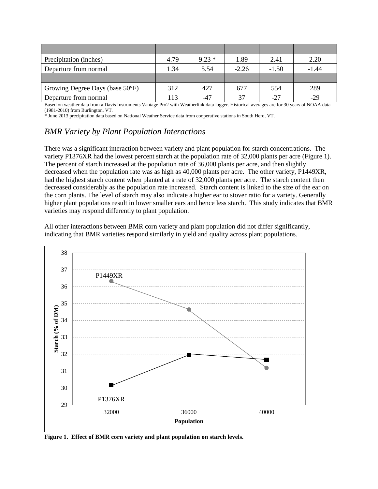| Precipitation (inches)          | 4.79            | $9.23*$ | 1.89    | 2.41    | 2.20    |
|---------------------------------|-----------------|---------|---------|---------|---------|
| Departure from normal           | 1.34            | 5.54    | $-2.26$ | $-1.50$ | $-1.44$ |
|                                 |                 |         |         |         |         |
| Growing Degree Days (base 50°F) | 312             | 427     | 677     | 554     | 289     |
| Departure from normal           | $\overline{13}$ | $-47$   | 37      | $-27$   | $-29$   |

Based on weather data from a Davis Instruments Vantage Pro2 with Weatherlink data logger. Historical averages are for 30 years of NOAA data (1981-2010) from Burlington, VT.

\* June 2013 precipitation data based on National Weather Service data from cooperative stations in South Hero, VT.

# *BMR Variety by Plant Population Interactions*

There was a significant interaction between variety and plant population for starch concentrations. The variety P1376XR had the lowest percent starch at the population rate of 32,000 plants per acre (Figure 1). The percent of starch increased at the population rate of 36,000 plants per acre, and then slightly decreased when the population rate was as high as 40,000 plants per acre. The other variety, P1449XR, had the highest starch content when planted at a rate of 32,000 plants per acre. The starch content then decreased considerably as the population rate increased. Starch content is linked to the size of the ear on the corn plants. The level of starch may also indicate a higher ear to stover ratio for a variety. Generally higher plant populations result in lower smaller ears and hence less starch. This study indicates that BMR varieties may respond differently to plant population.

All other interactions between BMR corn variety and plant population did not differ significantly, indicating that BMR varieties respond similarly in yield and quality across plant populations.



**Figure 1. Effect of BMR corn variety and plant population on starch levels.**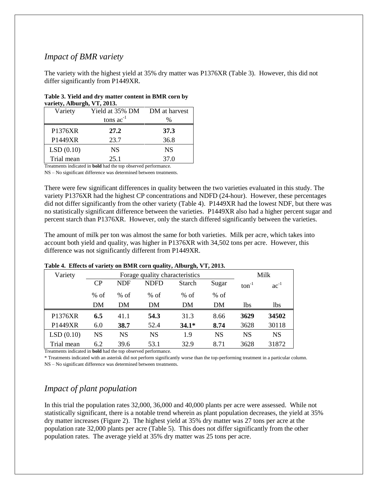## *Impact of BMR variety*

The variety with the highest yield at 35% dry matter was P1376XR (Table 3). However, this did not differ significantly from P1449XR.

| Table 3. Yield and dry matter content in BMR corn by |  |
|------------------------------------------------------|--|
| variety, Alburgh, VT, 2013.                          |  |

| Variety    | Yield at 35% DM<br>tons $ac^{-1}$ | DM at harvest<br>$\%$ |
|------------|-----------------------------------|-----------------------|
|            |                                   |                       |
| P1376XR    | 27.2                              | 37.3                  |
| P1449XR    | 23.7                              | 36.8                  |
| LSD(0.10)  | <b>NS</b>                         | <b>NS</b>             |
| Trial mean | 25.1                              | 37.0                  |
|            | $\mathbf{r}$                      | $\sim$ $\sim$         |

Treatments indicated in **bold** had the top observed performance. NS – No significant difference was determined between treatments.

There were few significant differences in quality between the two varieties evaluated in this study. The variety P1376XR had the highest CP concentrations and NDFD (24-hour). However, these percentages did not differ significantly from the other variety (Table 4). P1449XR had the lowest NDF, but there was no statistically significant difference between the varieties. P1449XR also had a higher percent sugar and percent starch than P1376XR. However, only the starch differed significantly between the varieties.

The amount of milk per ton was almost the same for both varieties. Milk per acre, which takes into account both yield and quality, was higher in P1376XR with 34,502 tons per acre. However, this difference was not significantly different from P1449XR.

| Variety    | ູ<br>$\sigma$ ,<br>Forage quality characteristics |            |             |               |           | Milk              |            |
|------------|---------------------------------------------------|------------|-------------|---------------|-----------|-------------------|------------|
|            | CP                                                | <b>NDF</b> | <b>NDFD</b> | <b>Starch</b> | Sugar     | $\text{ton}^{-1}$ | $ac^{-1}$  |
|            | $%$ of                                            | $%$ of     | $%$ of      | $%$ of        | $%$ of    |                   |            |
|            | DM                                                | DM         | DM          | DM            | DM        | 1 <sub>bs</sub>   | <b>lbs</b> |
| P1376XR    | 6.5                                               | 41.1       | 54.3        | 31.3          | 8.66      | 3629              | 34502      |
| P1449XR    | 6.0                                               | 38.7       | 52.4        | $34.1*$       | 8.74      | 3628              | 30118      |
| LSD(0.10)  | <b>NS</b>                                         | NS         | <b>NS</b>   | 1.9           | <b>NS</b> | <b>NS</b>         | <b>NS</b>  |
| Trial mean | 6.2                                               | 39.6       | 53.1        | 32.9          | 8.71      | 3628              | 31872      |

#### **Table 4. Effects of variety on BMR corn quality, Alburgh, VT, 2013.**

Treatments indicated in **bold** had the top observed performance.

\* Treatments indicated with an asterisk did not perform significantly worse than the top-performing treatment in a particular column.

NS – No significant difference was determined between treatments.

# *Impact of plant population*

In this trial the population rates 32,000, 36,000 and 40,000 plants per acre were assessed. While not statistically significant, there is a notable trend wherein as plant population decreases, the yield at 35% dry matter increases (Figure 2). The highest yield at 35% dry matter was 27 tons per acre at the population rate 32,000 plants per acre (Table 5). This does not differ significantly from the other population rates. The average yield at 35% dry matter was 25 tons per acre.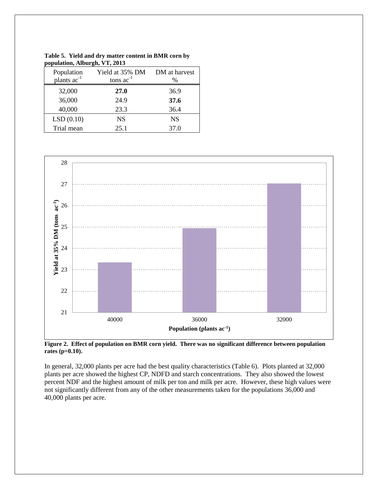| Population<br>plants ac <sup>-1</sup> | Yield at 35% DM<br>tons $ac^{-1}$ | DM at harvest<br>$\frac{0}{0}$ |
|---------------------------------------|-----------------------------------|--------------------------------|
| 32,000                                | 27.0                              | 36.9                           |
| 36,000                                | 24.9                              | 37.6                           |
| 40,000                                | 23.3                              | 36.4                           |
| LSD(0.10)                             | <b>NS</b>                         | <b>NS</b>                      |
| Trial mean                            | 25.1                              | 37.0                           |



**Figure 2. Effect of population on BMR corn yield. There was no significant difference between population rates (p=0.10).**

In general, 32,000 plants per acre had the best quality characteristics (Table 6). Plots planted at 32,000 plants per acre showed the highest CP, NDFD and starch concentrations. They also showed the lowest percent NDF and the highest amount of milk per ton and milk per acre. However, these high values were not significantly different from any of the other measurements taken for the populations 36,000 and 40,000 plants per acre.

**Table 5. Yield and dry matter content in BMR corn by population, Alburgh, VT, 2013**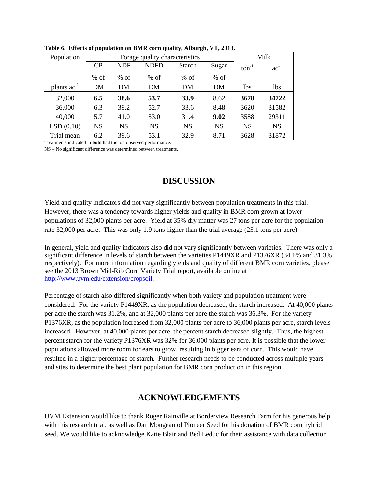| Population       |           |            | Forage quality characteristics |               |           |                 | Milk       |
|------------------|-----------|------------|--------------------------------|---------------|-----------|-----------------|------------|
|                  | CP        | <b>NDF</b> | <b>NDFD</b>                    | <b>Starch</b> | Sugar     | $ton^{-1}$      | $ac^{-1}$  |
|                  | $%$ of    | $%$ of     | $%$ of                         | $%$ of        | $%$ of    |                 |            |
| plants $ac^{-1}$ | DM        | DM         | DM                             | DM            | DM        | 1 <sub>bs</sub> | <b>lbs</b> |
| 32,000           | 6.5       | 38.6       | 53.7                           | 33.9          | 8.62      | 3678            | 34722      |
| 36,000           | 6.3       | 39.2       | 52.7                           | 33.6          | 8.48      | 3620            | 31582      |
| 40,000           | 5.7       | 41.0       | 53.0                           | 31.4          | 9.02      | 3588            | 29311      |
| LSD(0.10)        | <b>NS</b> | <b>NS</b>  | <b>NS</b>                      | <b>NS</b>     | <b>NS</b> | <b>NS</b>       | <b>NS</b>  |
| Trial mean       | 6.2       | 39.6       | 53.1                           | 32.9          | 8.71      | 3628            | 31872      |

**Table 6. Effects of population on BMR corn quality, Alburgh, VT, 2013.**

Treatments indicated in **bold** had the top observed performance.

NS – No significant difference was determined between treatments.

# **DISCUSSION**

Yield and quality indicators did not vary significantly between population treatments in this trial. However, there was a tendency towards higher yields and quality in BMR corn grown at lower populations of 32,000 plants per acre. Yield at 35% dry matter was 27 tons per acre for the population rate 32,000 per acre. This was only 1.9 tons higher than the trial average (25.1 tons per acre).

In general, yield and quality indicators also did not vary significantly between varieties. There was only a significant difference in levels of starch between the varieties P1449XR and P1376XR (34.1% and 31.3% respectively). For more information regarding yields and quality of different BMR corn varieties, please see the 2013 Brown Mid-Rib Corn Variety Trial report, available online at [http://www.uvm.edu/extension/cropsoil.](http://www.uvm.edu/extension/cropsoil)

Percentage of starch also differed significantly when both variety and population treatment were considered. For the variety P1449XR, as the population decreased, the starch increased. At 40,000 plants per acre the starch was 31.2%, and at 32,000 plants per acre the starch was 36.3%. For the variety P1376XR, as the population increased from 32,000 plants per acre to 36,000 plants per acre, starch levels increased. However, at 40,000 plants per acre, the percent starch decreased slightly. Thus, the highest percent starch for the variety P1376XR was 32% for 36,000 plants per acre. It is possible that the lower populations allowed more room for ears to grow, resulting in bigger ears of corn. This would have resulted in a higher percentage of starch. Further research needs to be conducted across multiple years and sites to determine the best plant population for BMR corn production in this region.

# **ACKNOWLEDGEMENTS**

UVM Extension would like to thank Roger Rainville at Borderview Research Farm for his generous help with this research trial, as well as Dan Mongeau of Pioneer Seed for his donation of BMR corn hybrid seed. We would like to acknowledge Katie Blair and Bed Leduc for their assistance with data collection